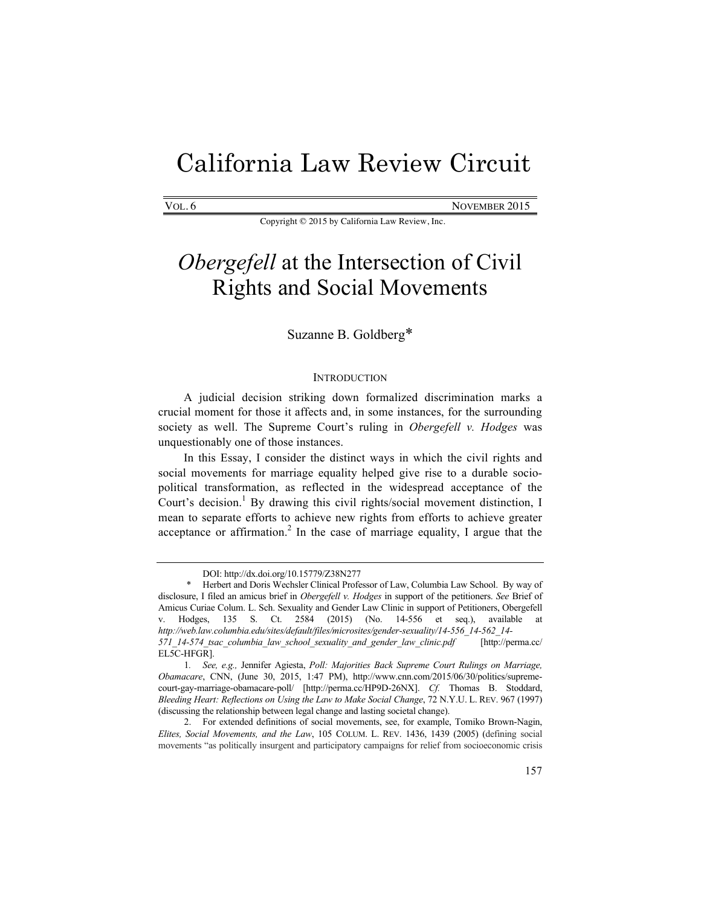# California Law Review Circuit

VOL. 6 NOVEMBER 2015

Copyright © 2015 by California Law Review, Inc.

## *Obergefell* at the Intersection of Civil Rights and Social Movements

## Suzanne B. Goldberg\*

#### **INTRODUCTION**

A judicial decision striking down formalized discrimination marks a crucial moment for those it affects and, in some instances, for the surrounding society as well. The Supreme Court's ruling in *Obergefell v. Hodges* was unquestionably one of those instances.

In this Essay, I consider the distinct ways in which the civil rights and social movements for marriage equality helped give rise to a durable sociopolitical transformation, as reflected in the widespread acceptance of the Court's decision.<sup>1</sup> By drawing this civil rights/social movement distinction, I mean to separate efforts to achieve new rights from efforts to achieve greater acceptance or affirmation.<sup>2</sup> In the case of marriage equality, I argue that the

DOI: http://dx.doi.org/10.15779/Z38N277

<sup>\*</sup> Herbert and Doris Wechsler Clinical Professor of Law, Columbia Law School. By way of disclosure, I filed an amicus brief in *Obergefell v. Hodges* in support of the petitioners. *See* Brief of Amicus Curiae Colum. L. Sch. Sexuality and Gender Law Clinic in support of Petitioners, Obergefell v. Hodges, 135 S. Ct. 2584 (2015) (No. 14-556 et seq.), available at *http://web.law.columbia.edu/sites/default/files/microsites/gender-sexuality/14-556\_14-562\_14- 571\_14-574\_tsac\_columbia\_law\_school\_sexuality\_and\_gender\_law\_clinic.pdf* [http://perma.cc/ EL5C-HFGR].

<sup>1</sup>*. See, e.g.,* Jennifer Agiesta, *Poll: Majorities Back Supreme Court Rulings on Marriage, Obamacare*, CNN, (June 30, 2015, 1:47 PM), http://www.cnn.com/2015/06/30/politics/supremecourt-gay-marriage-obamacare-poll/ [http://perma.cc/HP9D-26NX]. *Cf.* Thomas B. Stoddard, *Bleeding Heart: Reflections on Using the Law to Make Social Change*, 72 N.Y.U. L. REV. 967 (1997) (discussing the relationship between legal change and lasting societal change).

<sup>2.</sup> For extended definitions of social movements, see, for example, Tomiko Brown-Nagin, *Elites, Social Movements, and the Law*, 105 COLUM. L. REV. 1436, 1439 (2005) (defining social movements "as politically insurgent and participatory campaigns for relief from socioeconomic crisis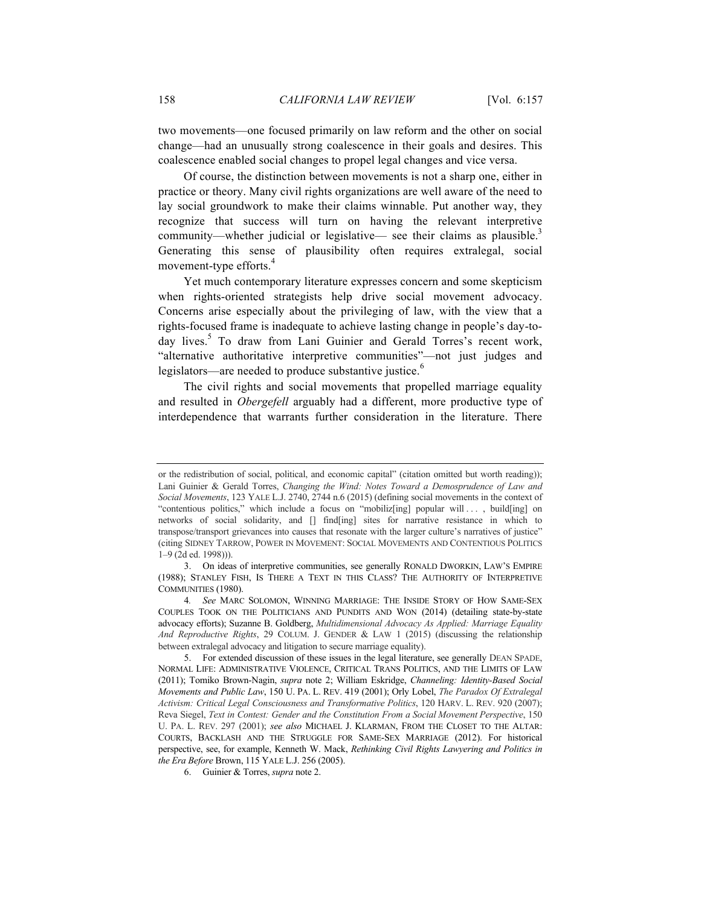two movements—one focused primarily on law reform and the other on social change—had an unusually strong coalescence in their goals and desires. This coalescence enabled social changes to propel legal changes and vice versa.

Of course, the distinction between movements is not a sharp one, either in practice or theory. Many civil rights organizations are well aware of the need to lay social groundwork to make their claims winnable. Put another way, they recognize that success will turn on having the relevant interpretive community—whether judicial or legislative— see their claims as plausible.<sup>3</sup> Generating this sense of plausibility often requires extralegal, social movement-type efforts.<sup>4</sup>

Yet much contemporary literature expresses concern and some skepticism when rights-oriented strategists help drive social movement advocacy. Concerns arise especially about the privileging of law, with the view that a rights-focused frame is inadequate to achieve lasting change in people's day-today lives.<sup>5</sup> To draw from Lani Guinier and Gerald Torres's recent work, "alternative authoritative interpretive communities"—not just judges and legislators—are needed to produce substantive justice.<sup>6</sup>

The civil rights and social movements that propelled marriage equality and resulted in *Obergefell* arguably had a different, more productive type of interdependence that warrants further consideration in the literature. There

or the redistribution of social, political, and economic capital" (citation omitted but worth reading)); Lani Guinier & Gerald Torres, *Changing the Wind: Notes Toward a Demosprudence of Law and Social Movements*, 123 YALE L.J. 2740, 2744 n.6 (2015) (defining social movements in the context of "contentious politics," which include a focus on "mobiliz[ing] popular will . . . , build[ing] on networks of social solidarity, and [] find[ing] sites for narrative resistance in which to transpose/transport grievances into causes that resonate with the larger culture's narratives of justice" (citing SIDNEY TARROW, POWER IN MOVEMENT: SOCIAL MOVEMENTS AND CONTENTIOUS POLITICS 1–9 (2d ed. 1998))).

<sup>3.</sup> On ideas of interpretive communities, see generally RONALD DWORKIN, LAW'S EMPIRE (1988); STANLEY FISH, IS THERE A TEXT IN THIS CLASS? THE AUTHORITY OF INTERPRETIVE COMMUNITIES (1980).

<sup>4</sup>*. See* MARC SOLOMON, WINNING MARRIAGE: THE INSIDE STORY OF HOW SAME-SEX COUPLES TOOK ON THE POLITICIANS AND PUNDITS AND WON (2014) (detailing state-by-state advocacy efforts); Suzanne B. Goldberg, *Multidimensional Advocacy As Applied: Marriage Equality And Reproductive Rights*, 29 COLUM. J. GENDER & LAW 1 (2015) (discussing the relationship between extralegal advocacy and litigation to secure marriage equality).

<sup>5.</sup> For extended discussion of these issues in the legal literature, see generally DEAN SPADE, NORMAL LIFE: ADMINISTRATIVE VIOLENCE, CRITICAL TRANS POLITICS, AND THE LIMITS OF LAW (2011); Tomiko Brown-Nagin, *supra* note 2; William Eskridge, *Channeling: Identity-Based Social Movements and Public Law*, 150 U. PA. L. REV. 419 (2001); Orly Lobel, *The Paradox Of Extralegal Activism: Critical Legal Consciousness and Transformative Politics*, 120 HARV. L. REV. 920 (2007); Reva Siegel, *Text in Contest: Gender and the Constitution From a Social Movement Perspective*, 150 U. PA. L. REV. 297 (2001); *see also* MICHAEL J. KLARMAN, FROM THE CLOSET TO THE ALTAR: COURTS, BACKLASH AND THE STRUGGLE FOR SAME-SEX MARRIAGE (2012). For historical perspective, see, for example, Kenneth W. Mack, *Rethinking Civil Rights Lawyering and Politics in the Era Before* Brown, 115 YALE L.J. 256 (2005).

<sup>6.</sup> Guinier & Torres, *supra* note 2.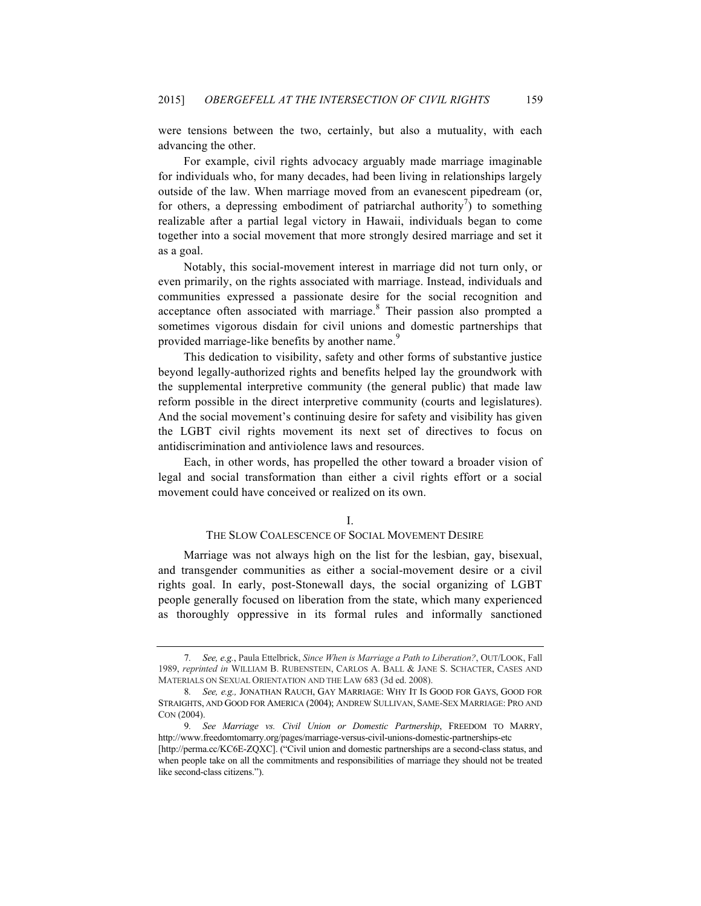were tensions between the two, certainly, but also a mutuality, with each advancing the other.

For example, civil rights advocacy arguably made marriage imaginable for individuals who, for many decades, had been living in relationships largely outside of the law. When marriage moved from an evanescent pipedream (or, for others, a depressing embodiment of patriarchal authority<sup>7</sup>) to something realizable after a partial legal victory in Hawaii, individuals began to come together into a social movement that more strongly desired marriage and set it as a goal.

Notably, this social-movement interest in marriage did not turn only, or even primarily, on the rights associated with marriage. Instead, individuals and communities expressed a passionate desire for the social recognition and acceptance often associated with marriage. $8$  Their passion also prompted a sometimes vigorous disdain for civil unions and domestic partnerships that provided marriage-like benefits by another name.<sup>9</sup>

This dedication to visibility, safety and other forms of substantive justice beyond legally-authorized rights and benefits helped lay the groundwork with the supplemental interpretive community (the general public) that made law reform possible in the direct interpretive community (courts and legislatures). And the social movement's continuing desire for safety and visibility has given the LGBT civil rights movement its next set of directives to focus on antidiscrimination and antiviolence laws and resources.

Each, in other words, has propelled the other toward a broader vision of legal and social transformation than either a civil rights effort or a social movement could have conceived or realized on its own.

#### I.

## THE SLOW COALESCENCE OF SOCIAL MOVEMENT DESIRE

Marriage was not always high on the list for the lesbian, gay, bisexual, and transgender communities as either a social-movement desire or a civil rights goal. In early, post-Stonewall days, the social organizing of LGBT people generally focused on liberation from the state, which many experienced as thoroughly oppressive in its formal rules and informally sanctioned

<sup>7</sup>*. See, e.g.*, Paula Ettelbrick, *Since When is Marriage a Path to Liberation?*, OUT/LOOK, Fall 1989, *reprinted in* WILLIAM B. RUBENSTEIN, CARLOS A. BALL & JANE S. SCHACTER, CASES AND MATERIALS ON SEXUAL ORIENTATION AND THE LAW 683 (3d ed. 2008).

<sup>8</sup>*. See, e.g.,* JONATHAN RAUCH, GAY MARRIAGE: WHY IT IS GOOD FOR GAYS, GOOD FOR STRAIGHTS, AND GOOD FOR AMERICA (2004); ANDREW SULLIVAN, SAME-SEX MARRIAGE: PRO AND CON (2004).

<sup>9</sup>*. See Marriage vs. Civil Union or Domestic Partnership*, FREEDOM TO MARRY, http://www.freedomtomarry.org/pages/marriage-versus-civil-unions-domestic-partnerships-etc [http://perma.cc/KC6E-ZQXC]. ("Civil union and domestic partnerships are a second-class status, and when people take on all the commitments and responsibilities of marriage they should not be treated like second-class citizens.").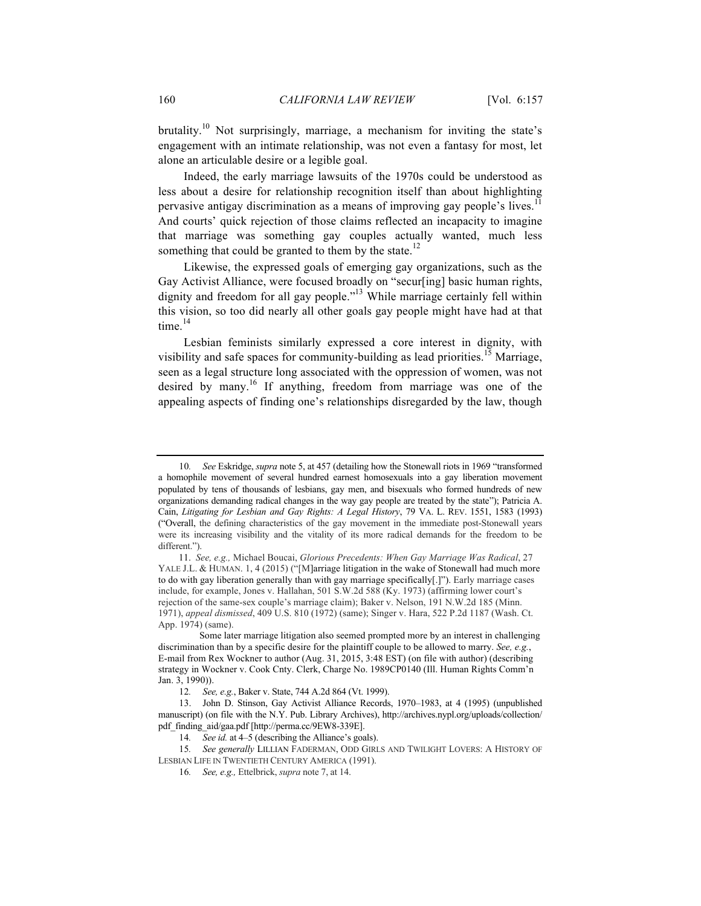brutality.<sup>10</sup> Not surprisingly, marriage, a mechanism for inviting the state's engagement with an intimate relationship, was not even a fantasy for most, let alone an articulable desire or a legible goal.

Indeed, the early marriage lawsuits of the 1970s could be understood as less about a desire for relationship recognition itself than about highlighting pervasive antigay discrimination as a means of improving gay people's lives.<sup>11</sup> And courts' quick rejection of those claims reflected an incapacity to imagine that marriage was something gay couples actually wanted, much less something that could be granted to them by the state.<sup>12</sup>

Likewise, the expressed goals of emerging gay organizations, such as the Gay Activist Alliance, were focused broadly on "secur[ing] basic human rights, dignity and freedom for all gay people."<sup>13</sup> While marriage certainly fell within this vision, so too did nearly all other goals gay people might have had at that time. $14$ 

Lesbian feminists similarly expressed a core interest in dignity, with visibility and safe spaces for community-building as lead priorities.<sup>15</sup> Marriage, seen as a legal structure long associated with the oppression of women, was not desired by many.<sup>16</sup> If anything, freedom from marriage was one of the appealing aspects of finding one's relationships disregarded by the law, though

<sup>10</sup>*. See* Eskridge, *supra* note 5, at 457 (detailing how the Stonewall riots in 1969 "transformed a homophile movement of several hundred earnest homosexuals into a gay liberation movement populated by tens of thousands of lesbians, gay men, and bisexuals who formed hundreds of new organizations demanding radical changes in the way gay people are treated by the state"); Patricia A. Cain, *Litigating for Lesbian and Gay Rights: A Legal History*, 79 VA. L. REV. 1551, 1583 (1993) ("Overall, the defining characteristics of the gay movement in the immediate post-Stonewall years were its increasing visibility and the vitality of its more radical demands for the freedom to be different.").

<sup>11.</sup> *See, e.g.,* Michael Boucai, *Glorious Precedents: When Gay Marriage Was Radical*, 27 YALE J.L. & HUMAN. 1, 4 (2015) ("[M]arriage litigation in the wake of Stonewall had much more to do with gay liberation generally than with gay marriage specifically[.]"). Early marriage cases include, for example, Jones v. Hallahan, 501 S.W.2d 588 (Ky. 1973) (affirming lower court's rejection of the same-sex couple's marriage claim); Baker v. Nelson, 191 N.W.2d 185 (Minn. 1971), *appeal dismissed*, 409 U.S. 810 (1972) (same); Singer v. Hara, 522 P.2d 1187 (Wash. Ct. App. 1974) (same).

Some later marriage litigation also seemed prompted more by an interest in challenging discrimination than by a specific desire for the plaintiff couple to be allowed to marry. *See, e.g.*, E-mail from Rex Wockner to author (Aug. 31, 2015, 3:48 EST) (on file with author) (describing strategy in Wockner v. Cook Cnty. Clerk, Charge No. 1989CP0140 (Ill. Human Rights Comm'n Jan. 3, 1990)).

<sup>12</sup>*. See, e.g.*, Baker v. State, 744 A.2d 864 (Vt. 1999).

<sup>13.</sup> John D. Stinson, Gay Activist Alliance Records, 1970–1983, at 4 (1995) (unpublished manuscript) (on file with the N.Y. Pub. Library Archives), http://archives.nypl.org/uploads/collection/ pdf\_finding\_aid/gaa.pdf [http://perma.cc/9EW8-339E].

<sup>14</sup>*. See id.* at 4–5 (describing the Alliance's goals).

<sup>15</sup>*. See generally* LILLIAN FADERMAN, ODD GIRLS AND TWILIGHT LOVERS: A HISTORY OF LESBIAN LIFE IN TWENTIETH CENTURY AMERICA (1991).

<sup>16</sup>*. See, e.g.,* Ettelbrick, *supra* note 7, at 14.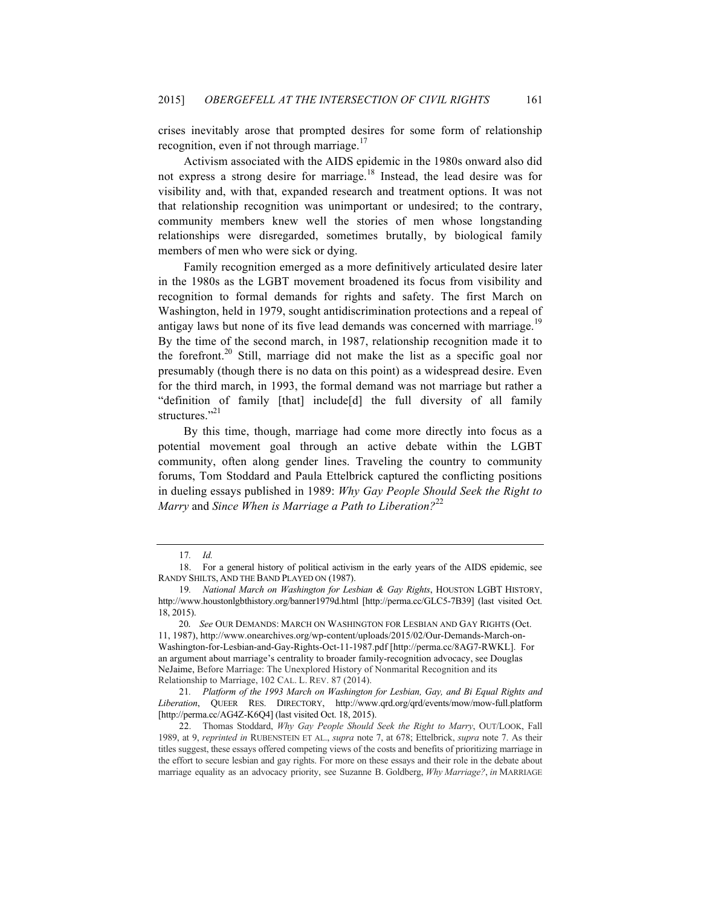crises inevitably arose that prompted desires for some form of relationship recognition, even if not through marriage. $17$ 

Activism associated with the AIDS epidemic in the 1980s onward also did not express a strong desire for marriage.<sup>18</sup> Instead, the lead desire was for visibility and, with that, expanded research and treatment options. It was not that relationship recognition was unimportant or undesired; to the contrary, community members knew well the stories of men whose longstanding relationships were disregarded, sometimes brutally, by biological family members of men who were sick or dying.

Family recognition emerged as a more definitively articulated desire later in the 1980s as the LGBT movement broadened its focus from visibility and recognition to formal demands for rights and safety. The first March on Washington, held in 1979, sought antidiscrimination protections and a repeal of antigay laws but none of its five lead demands was concerned with marriage.<sup>19</sup> By the time of the second march, in 1987, relationship recognition made it to the forefront.<sup>20</sup> Still, marriage did not make the list as a specific goal nor presumably (though there is no data on this point) as a widespread desire. Even for the third march, in 1993, the formal demand was not marriage but rather a "definition of family [that] include[d] the full diversity of all family structures."<sup>21</sup>

By this time, though, marriage had come more directly into focus as a potential movement goal through an active debate within the LGBT community, often along gender lines. Traveling the country to community forums, Tom Stoddard and Paula Ettelbrick captured the conflicting positions in dueling essays published in 1989: *Why Gay People Should Seek the Right to Marry* and *Since When is Marriage a Path to Liberation?*<sup>22</sup>

<sup>17</sup>*. Id.*

<sup>18.</sup> For a general history of political activism in the early years of the AIDS epidemic, see RANDY SHILTS, AND THE BAND PLAYED ON (1987).

<sup>19</sup>*. National March on Washington for Lesbian & Gay Rights*, HOUSTON LGBT HISTORY, http://www.houstonlgbthistory.org/banner1979d.html [http://perma.cc/GLC5-7B39] (last visited Oct. 18, 2015).

<sup>20</sup>*. See* OUR DEMANDS: MARCH ON WASHINGTON FOR LESBIAN AND GAY RIGHTS (Oct. 11, 1987), http://www.onearchives.org/wp-content/uploads/2015/02/Our-Demands-March-on-Washington-for-Lesbian-and-Gay-Rights-Oct-11-1987.pdf [http://perma.cc/8AG7-RWKL]. For an argument about marriage's centrality to broader family-recognition advocacy, see Douglas NeJaime, Before Marriage: The Unexplored History of Nonmarital Recognition and its Relationship to Marriage, 102 CAL. L. REV. 87 (2014).

<sup>21</sup>*. Platform of the 1993 March on Washington for Lesbian, Gay, and Bi Equal Rights and Liberation*, QUEER RES. DIRECTORY, http://www.qrd.org/qrd/events/mow/mow-full.platform [http://perma.cc/AG4Z-K6Q4] (last visited Oct. 18, 2015).

<sup>22.</sup> Thomas Stoddard, *Why Gay People Should Seek the Right to Marry*, OUT/LOOK, Fall 1989, at 9, *reprinted in* RUBENSTEIN ET AL., *supra* note 7, at 678; Ettelbrick, *supra* note 7. As their titles suggest, these essays offered competing views of the costs and benefits of prioritizing marriage in the effort to secure lesbian and gay rights. For more on these essays and their role in the debate about marriage equality as an advocacy priority, see Suzanne B. Goldberg, *Why Marriage?*, *in* MARRIAGE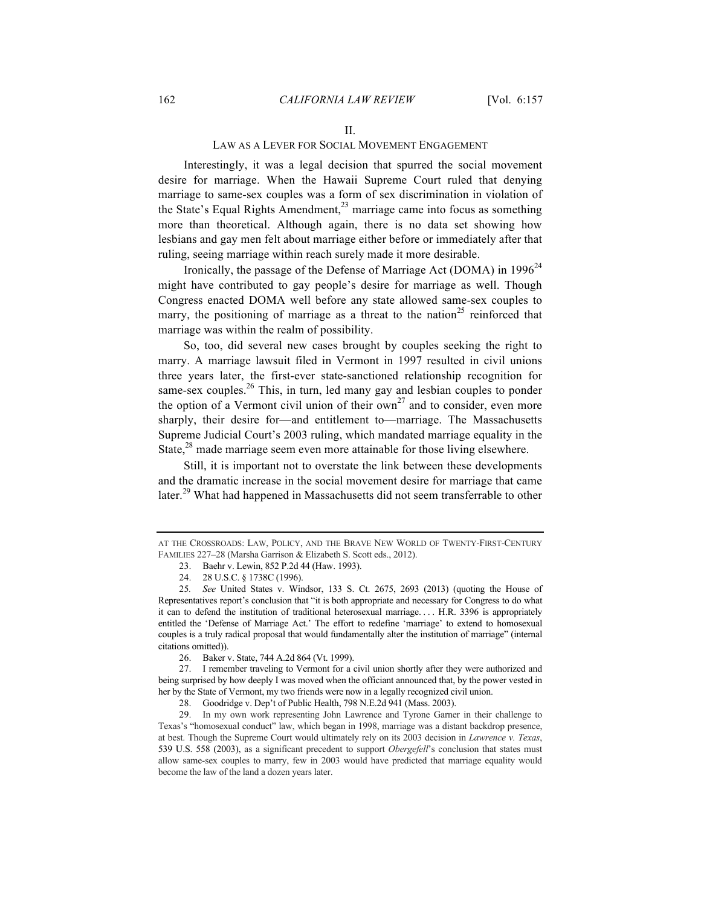## LAW AS A LEVER FOR SOCIAL MOVEMENT ENGAGEMENT

Interestingly, it was a legal decision that spurred the social movement desire for marriage. When the Hawaii Supreme Court ruled that denying marriage to same-sex couples was a form of sex discrimination in violation of the State's Equal Rights Amendment, $^{23}$  marriage came into focus as something more than theoretical. Although again, there is no data set showing how lesbians and gay men felt about marriage either before or immediately after that ruling, seeing marriage within reach surely made it more desirable.

Ironically, the passage of the Defense of Marriage Act (DOMA) in  $1996<sup>24</sup>$ might have contributed to gay people's desire for marriage as well. Though Congress enacted DOMA well before any state allowed same-sex couples to marry, the positioning of marriage as a threat to the nation<sup>25</sup> reinforced that marriage was within the realm of possibility.

So, too, did several new cases brought by couples seeking the right to marry. A marriage lawsuit filed in Vermont in 1997 resulted in civil unions three years later, the first-ever state-sanctioned relationship recognition for same-sex couples.<sup>26</sup> This, in turn, led many gay and lesbian couples to ponder the option of a Vermont civil union of their own<sup>27</sup> and to consider, even more sharply, their desire for—and entitlement to—marriage. The Massachusetts Supreme Judicial Court's 2003 ruling, which mandated marriage equality in the State,<sup>28</sup> made marriage seem even more attainable for those living elsewhere.

Still, it is important not to overstate the link between these developments and the dramatic increase in the social movement desire for marriage that came later.<sup>29</sup> What had happened in Massachusetts did not seem transferrable to other

27. I remember traveling to Vermont for a civil union shortly after they were authorized and being surprised by how deeply I was moved when the officiant announced that, by the power vested in her by the State of Vermont, my two friends were now in a legally recognized civil union.

28. Goodridge v. Dep't of Public Health, 798 N.E.2d 941 (Mass. 2003).

29. In my own work representing John Lawrence and Tyrone Garner in their challenge to Texas's "homosexual conduct" law, which began in 1998, marriage was a distant backdrop presence, at best. Though the Supreme Court would ultimately rely on its 2003 decision in *Lawrence v. Texas*, 539 U.S. 558 (2003), as a significant precedent to support *Obergefell*'s conclusion that states must allow same-sex couples to marry, few in 2003 would have predicted that marriage equality would become the law of the land a dozen years later.

AT THE CROSSROADS: LAW, POLICY, AND THE BRAVE NEW WORLD OF TWENTY-FIRST-CENTURY FAMILIES 227–28 (Marsha Garrison & Elizabeth S. Scott eds., 2012).

<sup>23.</sup> Baehr v. Lewin, 852 P.2d 44 (Haw. 1993).

<sup>24.</sup> 28 U.S.C. § 1738C (1996).

<sup>25</sup>*. See* United States v. Windsor, 133 S. Ct. 2675, 2693 (2013) (quoting the House of Representatives report's conclusion that "it is both appropriate and necessary for Congress to do what it can to defend the institution of traditional heterosexual marriage. . . . H.R. 3396 is appropriately entitled the 'Defense of Marriage Act.' The effort to redefine 'marriage' to extend to homosexual couples is a truly radical proposal that would fundamentally alter the institution of marriage" (internal citations omitted)).

<sup>26.</sup> Baker v. State, 744 A.2d 864 (Vt. 1999).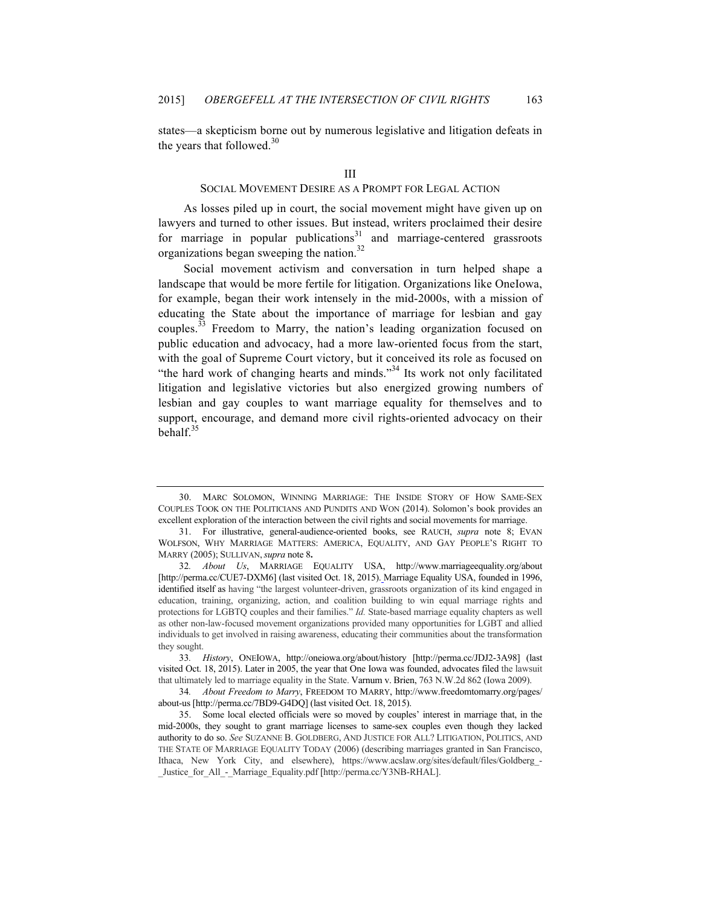states—a skepticism borne out by numerous legislative and litigation defeats in the years that followed. $30$ 

## SOCIAL MOVEMENT DESIRE AS A PROMPT FOR LEGAL ACTION

As losses piled up in court, the social movement might have given up on lawyers and turned to other issues. But instead, writers proclaimed their desire for marriage in popular publications $31$  and marriage-centered grassroots organizations began sweeping the nation.<sup>32</sup>

Social movement activism and conversation in turn helped shape a landscape that would be more fertile for litigation. Organizations like OneIowa, for example, began their work intensely in the mid-2000s, with a mission of educating the State about the importance of marriage for lesbian and gay couples.<sup>33</sup> Freedom to Marry, the nation's leading organization focused on public education and advocacy, had a more law-oriented focus from the start, with the goal of Supreme Court victory, but it conceived its role as focused on "the hard work of changing hearts and minds."<sup>34</sup> Its work not only facilitated litigation and legislative victories but also energized growing numbers of lesbian and gay couples to want marriage equality for themselves and to support, encourage, and demand more civil rights-oriented advocacy on their  $behalf<sup>35</sup>$ 

34*. About Freedom to Marry*, FREEDOM TO MARRY, http://www.freedomtomarry.org/pages/ about-us [http://perma.cc/7BD9-G4DQ] (last visited Oct. 18, 2015).

<sup>30.</sup> MARC SOLOMON, WINNING MARRIAGE: THE INSIDE STORY OF HOW SAME-SEX COUPLES TOOK ON THE POLITICIANS AND PUNDITS AND WON (2014). Solomon's book provides an excellent exploration of the interaction between the civil rights and social movements for marriage.

<sup>31.</sup> For illustrative, general-audience-oriented books, see RAUCH, *supra* note 8; EVAN WOLFSON, WHY MARRIAGE MATTERS: AMERICA, EQUALITY, AND GAY PEOPLE'S RIGHT TO MARRY (2005); SULLIVAN,*supra* note 8**.**

<sup>32</sup>*. About Us*, MARRIAGE EQUALITY USA, http://www.marriageequality.org/about [http://perma.cc/CUE7-DXM6] (last visited Oct. 18, 2015). Marriage Equality USA, founded in 1996, identified itself as having "the largest volunteer-driven, grassroots organization of its kind engaged in education, training, organizing, action, and coalition building to win equal marriage rights and protections for LGBTQ couples and their families." *Id.* State-based marriage equality chapters as well as other non-law-focused movement organizations provided many opportunities for LGBT and allied individuals to get involved in raising awareness, educating their communities about the transformation they sought.

<sup>33</sup>*. History*, ONEIOWA, http://oneiowa.org/about/history [http://perma.cc/JDJ2-3A98] (last visited Oct. 18, 2015). Later in 2005, the year that One Iowa was founded, advocates filed the lawsuit that ultimately led to marriage equality in the State. Varnum v. Brien, 763 N.W.2d 862 (Iowa 2009).

<sup>35.</sup> Some local elected officials were so moved by couples' interest in marriage that, in the mid-2000s, they sought to grant marriage licenses to same-sex couples even though they lacked authority to do so. *See* SUZANNE B. GOLDBERG, AND JUSTICE FOR ALL? LITIGATION, POLITICS, AND THE STATE OF MARRIAGE EQUALITY TODAY (2006) (describing marriages granted in San Francisco, Ithaca, New York City, and elsewhere), https://www.acslaw.org/sites/default/files/Goldberg\_- Justice for All - Marriage Equality.pdf [http://perma.cc/Y3NB-RHAL].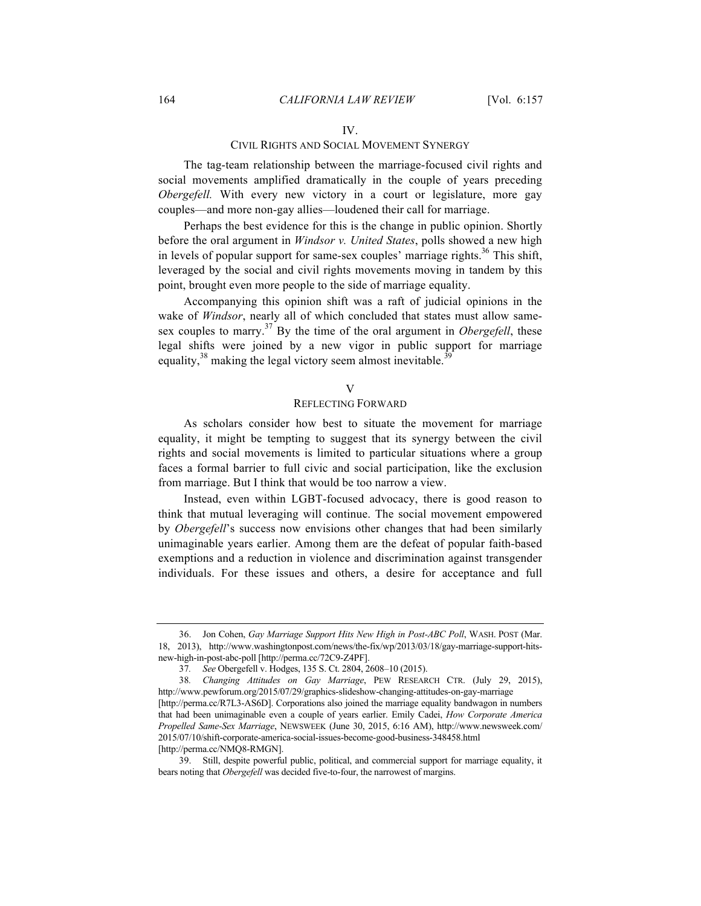#### IV.

## CIVIL RIGHTS AND SOCIAL MOVEMENT SYNERGY

The tag-team relationship between the marriage-focused civil rights and social movements amplified dramatically in the couple of years preceding *Obergefell.* With every new victory in a court or legislature, more gay couples—and more non-gay allies—loudened their call for marriage.

Perhaps the best evidence for this is the change in public opinion. Shortly before the oral argument in *Windsor v. United States*, polls showed a new high in levels of popular support for same-sex couples' marriage rights.<sup>36</sup> This shift, leveraged by the social and civil rights movements moving in tandem by this point, brought even more people to the side of marriage equality.

Accompanying this opinion shift was a raft of judicial opinions in the wake of *Windsor*, nearly all of which concluded that states must allow samesex couples to marry.<sup>37</sup> By the time of the oral argument in *Obergefell*, these legal shifts were joined by a new vigor in public support for marriage equality, $38$  making the legal victory seem almost inevitable.<sup>39</sup>

## V

## REFLECTING FORWARD

As scholars consider how best to situate the movement for marriage equality, it might be tempting to suggest that its synergy between the civil rights and social movements is limited to particular situations where a group faces a formal barrier to full civic and social participation, like the exclusion from marriage. But I think that would be too narrow a view.

Instead, even within LGBT-focused advocacy, there is good reason to think that mutual leveraging will continue. The social movement empowered by *Obergefell*'s success now envisions other changes that had been similarly unimaginable years earlier. Among them are the defeat of popular faith-based exemptions and a reduction in violence and discrimination against transgender individuals. For these issues and others, a desire for acceptance and full

<sup>36.</sup> Jon Cohen, *Gay Marriage Support Hits New High in Post-ABC Poll*, WASH. POST (Mar. 18, 2013), http://www.washingtonpost.com/news/the-fix/wp/2013/03/18/gay-marriage-support-hitsnew-high-in-post-abc-poll [http://perma.cc/72C9-Z4PF].

<sup>37</sup>*. See* Obergefell v. Hodges, 135 S. Ct. 2804, 2608–10 (2015).

<sup>38</sup>*. Changing Attitudes on Gay Marriage*, PEW RESEARCH CTR. (July 29, 2015), http://www.pewforum.org/2015/07/29/graphics-slideshow-changing-attitudes-on-gay-marriage [http://perma.cc/R7L3-AS6D]. Corporations also joined the marriage equality bandwagon in numbers that had been unimaginable even a couple of years earlier. Emily Cadei, *How Corporate America Propelled Same-Sex Marriage*, NEWSWEEK (June 30, 2015, 6:16 AM), http://www.newsweek.com/ 2015/07/10/shift-corporate-america-social-issues-become-good-business-348458.html [http://perma.cc/NMQ8-RMGN].

<sup>39.</sup> Still, despite powerful public, political, and commercial support for marriage equality, it bears noting that *Obergefell* was decided five-to-four, the narrowest of margins.